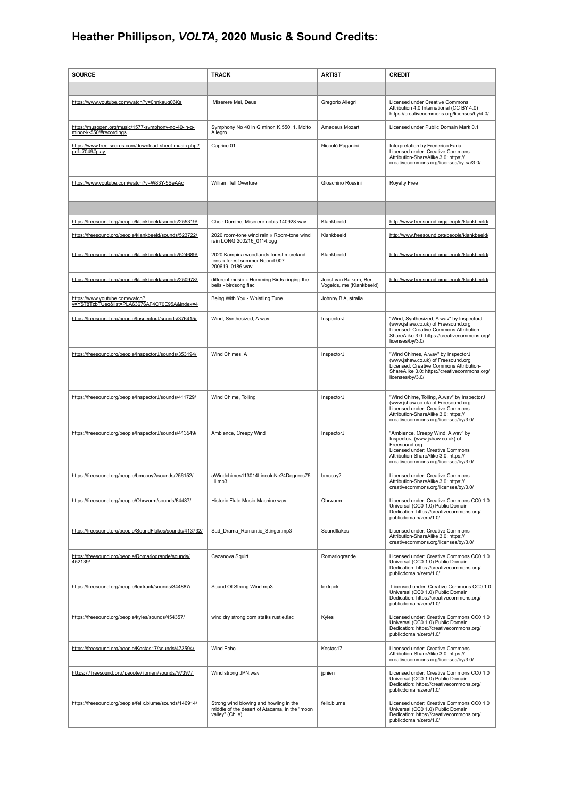## **Heather Phillipson,** *VOLTA***, 2020 Music & Sound Credits:**

| <b>SOURCE</b>                                                                   | <b>TRACK</b>                                                                                               | <b>ARTIST</b>                                      | <b>CREDIT</b>                                                                                                                                                                                             |
|---------------------------------------------------------------------------------|------------------------------------------------------------------------------------------------------------|----------------------------------------------------|-----------------------------------------------------------------------------------------------------------------------------------------------------------------------------------------------------------|
|                                                                                 |                                                                                                            |                                                    |                                                                                                                                                                                                           |
| https://www.youtube.com/watch?v=0nnkauq06Ks                                     | Miserere Mei, Deus                                                                                         | Gregorio Allegri                                   | Licensed under Creative Commons<br>Attribution 4.0 International (CC BY 4.0)<br>https://creativecommons.org/licenses/by/4.0/                                                                              |
| https://musopen.org/music/1577-symphony-no-40-in-g-<br>minor-k-550/#recordings  | Symphony No 40 in G minor, K.550, 1. Molto<br>Allegro                                                      | Amadeus Mozart                                     | Licensed under Public Domain Mark 0.1                                                                                                                                                                     |
| https://www.free-scores.com/download-sheet-music.php?<br>pdf=7049#play          | Caprice 01                                                                                                 | Niccolò Paganini                                   | Interpretation by Frederico Faria<br>Licensed under: Creative Commons<br>Attribution-ShareAlike 3.0: https://<br>creativecommons.org/licenses/by-sa/3.0/                                                  |
| https://www.youtube.com/watch?v=W83Y-5SeAAc                                     | William Tell Overture                                                                                      | Gioachino Rossini                                  | Royalty Free                                                                                                                                                                                              |
|                                                                                 |                                                                                                            |                                                    |                                                                                                                                                                                                           |
| https://freesound.org/people/klankbeeld/sounds/255319/                          | Choir Domine, Miserere nobis 140928.wav                                                                    | Klankbeeld                                         | http://www.freesound.org/people/klankbeeld/                                                                                                                                                               |
| https://freesound.org/people/klankbeeld/sounds/523722/                          | 2020 room-tone wind rain » Room-tone wind<br>rain LONG 200216_0114.ogg                                     | Klankbeeld                                         | http://www.freesound.org/people/klankbeeld/                                                                                                                                                               |
| https://freesound.org/people/klankbeeld/sounds/524689/                          | 2020 Kampina woodlands forest moreland<br>fens » forest summer Roond 007<br>200619_0186.wav                | Klankbeeld                                         | http://www.freesound.org/people/klankbeeld/                                                                                                                                                               |
| https://freesound.org/people/klankbeeld/sounds/250978/                          | different music » Humming Birds ringing the<br>bells - birdsong.flac                                       | Joost van Balkom, Bert<br>Vogelds, me (Klankbeeld) | http://www.freesound.org/people/klankbeeld/                                                                                                                                                               |
| https://www.youtube.com/watch?<br>v=Y5T8TzbTUeg&list=PLA63676AF4C70E95A&index=4 | Being With You - Whistling Tune                                                                            | Johnny B Australia                                 |                                                                                                                                                                                                           |
| https://freesound.org/people/Inspector.J/sounds/376415/                         | Wind, Synthesized, A.wav                                                                                   | InspectorJ                                         | "Wind, Synthesized, A.wav" by InspectorJ<br>(www.jshaw.co.uk) of Freesound.org<br>Licensed: Creative Commons Attribution-<br>ShareAlike 3.0: https://creativecommons.org/<br>licenses/by/3.0/             |
| https://freesound.org/people/InspectorJ/sounds/353194/                          | Wind Chimes, A                                                                                             | InspectorJ                                         | "Wind Chimes, A.wav" by InspectorJ<br>(www.jshaw.co.uk) of Freesound.org<br>Licensed: Creative Commons Attribution-<br>ShareAlike 3.0: https://creativecommons.org/<br>licenses/by/3.0/                   |
| https://freesound.org/people/InspectorJ/sounds/411729/                          | Wind Chime, Tolling                                                                                        | InspectorJ                                         | "Wind Chime, Tolling, A.wav" by InspectorJ<br>(www.jshaw.co.uk) of Freesound.org<br>Licensed under: Creative Commons<br>Attribution-ShareAlike 3.0: https://<br>creativecommons.org/licenses/by/3.0/      |
| https://freesound.org/people/InspectorJ/sounds/413549/                          | Ambience, Creepy Wind                                                                                      | InspectorJ                                         | "Ambience, Creepy Wind, A.wav" by<br>InspectorJ (www.jshaw.co.uk) of<br>Freesound.org<br>Licensed under: Creative Commons<br>Attribution-ShareAlike 3.0: https://<br>creativecommons.org/licenses/by/3.0/ |
| https://freesound.org/people/bmccoy2/sounds/256152/                             | aWindchimes113014LincolnNe24Degrees75<br>Hi.mp3                                                            | bmccoy2                                            | Licensed under: Creative Commons<br>Attribution-ShareAlike 3.0: https://<br>creativecommons.org/licenses/by/3.0/                                                                                          |
| https://freesound.org/people/Ohrwurm/sounds/64487/                              | Historic Flute Music-Machine.wav                                                                           | Ohrwurm                                            | Licensed under: Creative Commons CC0 1.0<br>Universal (CC0 1.0) Public Domain<br>Dedication: https://creativecommons.org/<br>publicdomain/zero/1.0/                                                       |
| https://freesound.org/people/SoundFlakes/sounds/413732/                         | Sad Drama Romantic Stinger.mp3                                                                             | Soundflakes                                        | Licensed under: Creative Commons<br>Attribution-ShareAlike 3.0: https://<br>creativecommons.org/licenses/by/3.0/                                                                                          |
| https://freesound.org/people/Romariogrande/sounds/<br>452139/                   | Cazanova Squirt                                                                                            | Romariogrande                                      | Licensed under: Creative Commons CC0 1.0<br>Universal (CC0 1.0) Public Domain<br>Dedication: https://creativecommons.org/<br>publicdomain/zero/1.0/                                                       |
| https://freesound.org/people/lextrack/sounds/344887/                            | Sound Of Strong Wind.mp3                                                                                   | lextrack                                           | Licensed under: Creative Commons CC0 1.0<br>Universal (CC0 1.0) Public Domain<br>Dedication: https://creativecommons.org/<br>publicdomain/zero/1.0/                                                       |
| https://freesound.org/people/kyles/sounds/454357/                               | wind dry strong corn stalks rustle.flac                                                                    | Kyles                                              | Licensed under: Creative Commons CC0 1.0<br>Universal (CC0 1.0) Public Domain<br>Dedication: https://creativecommons.org/<br>publicdomain/zero/1.0/                                                       |
| https://freesound.org/people/Kostas17/sounds/473594/                            | Wind Echo                                                                                                  | Kostas17                                           | Licensed under: Creative Commons<br>Attribution-ShareAlike 3.0: https://<br>creativecommons.org/licenses/by/3.0/                                                                                          |
| https://freesound.org/people/jpnien/sounds/97397/                               | Wind strong JPN.wav                                                                                        | jpnien                                             | Licensed under: Creative Commons CC0 1.0<br>Universal (CC0 1.0) Public Domain<br>Dedication: https://creativecommons.org/<br>publicdomain/zero/1.0/                                                       |
| https://freesound.org/people/felix.blume/sounds/146914/                         | Strong wind blowing and howling in the<br>middle of the desert of Atacama, in the "moon<br>valley" (Chile) | felix.blume                                        | Licensed under: Creative Commons CC0 1.0<br>Universal (CC0 1.0) Public Domain<br>Dedication: https://creativecommons.org/<br>publicdomain/zero/1.0/                                                       |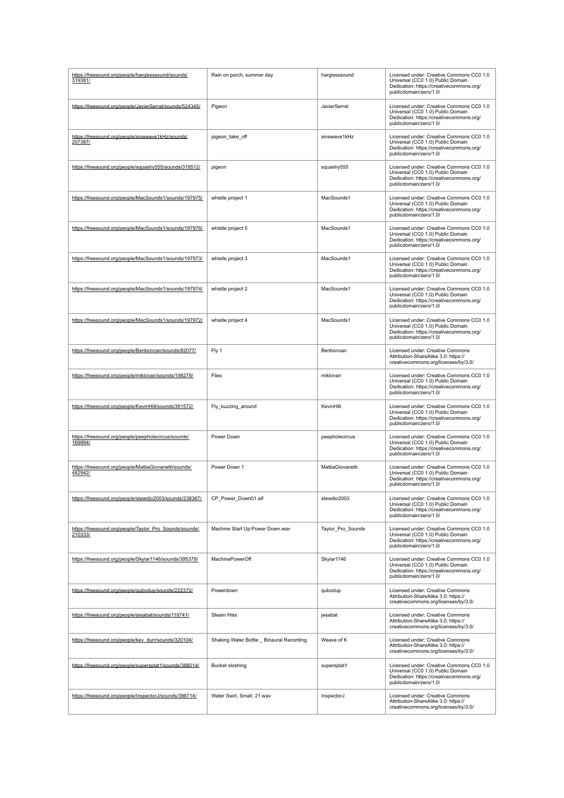| https://freesound.org/people/hargissssound/sounds/<br>319381/     | Rain on porch, summer day                 | hargissssound     | Licensed under: Creative Commons CC0 1.0<br>Universal (CC0 1.0) Public Domain<br>Dedication: https://creativecommons.org/<br>publicdomain/zero/1.0/ |
|-------------------------------------------------------------------|-------------------------------------------|-------------------|-----------------------------------------------------------------------------------------------------------------------------------------------------|
| https://freesound.org/people/JavierSerrat/sounds/524345/          | Pigeon                                    | JavierSerrat      | Licensed under: Creative Commons CC0 1.0<br>Universal (CC0 1.0) Public Domain<br>Dedication: https://creativecommons.org/<br>publicdomain/zero/1.0/ |
| https://freesound.org/people/sinewave1kHz/sounds/<br>207387/      | pigeon_take_off                           | sinewave1kHz      | Licensed under: Creative Commons CC0 1.0<br>Universal (CC0 1.0) Public Domain<br>Dedication: https://creativecommons.org/<br>publicdomain/zero/1.0/ |
| https://freesound.org/people/squashy555/sounds/319512/            | pigeon                                    | squashy555        | Licensed under: Creative Commons CC0 1.0<br>Universal (CC0 1.0) Public Domain<br>Dedication: https://creativecommons.org/<br>publicdomain/zero/1.0/ |
| https://freesound.org/people/MacSounds1/sounds/197975/            | whistle project 1                         | MacSounds1        | Licensed under: Creative Commons CC0 1.0<br>Universal (CC0 1.0) Public Domain<br>Dedication: https://creativecommons.org/<br>publicdomain/zero/1.0/ |
| https://freesound.org/people/MacSounds1/sounds/197976/            | whistle project 5                         | MacSounds1        | Licensed under: Creative Commons CC0 1.0<br>Universal (CC0 1.0) Public Domain<br>Dedication: https://creativecommons.org/<br>publicdomain/zero/1.0/ |
| https://freesound.org/people/MacSounds1/sounds/197973/            | whistle project 3                         | MacSounds1        | Licensed under: Creative Commons CC0 1.0<br>Universal (CC0 1.0) Public Domain<br>Dedication: https://creativecommons.org/<br>publicdomain/zero/1.0/ |
| https://freesound.org/people/MacSounds1/sounds/197974/            | whistle project 2                         | MacSounds1        | Licensed under: Creative Commons CC0 1.0<br>Universal (CC0 1.0) Public Domain<br>Dedication: https://creativecommons.org/<br>publicdomain/zero/1.0/ |
| https://freesound.org/people/MacSounds1/sounds/197972/            | whistle project 4                         | MacSounds1        | Licensed under: Creative Commons CC0 1.0<br>Universal (CC0 1.0) Public Domain<br>Dedication: https://creativecommons.org/<br>publicdomain/zero/1.0/ |
| https://freesound.org/people/Benboncan/sounds/82077/              | Fly 1                                     | Benboncan         | Licensed under: Creative Commons<br>Attribution-ShareAlike 3.0: https://<br>creativecommons.org/licenses/by/3.0/                                    |
| https://freesound.org/people/miklovan/sounds/198278/              | Flies                                     | miklovan          | Licensed under: Creative Commons CC0 1.0<br>Universal (CC0 1.0) Public Domain<br>Dedication: https://creativecommons.org/<br>publicdomain/zero/1.0/ |
| https://freesound.org/people/KevinHilt/sounds/381572/             | Fly_buzzing_around                        | KevinHilt         | Licensed under: Creative Commons CC0 1.0<br>Universal (CC0 1.0) Public Domain<br>Dedication: https://creativecommons.org/<br>publicdomain/zero/1.0/ |
| https://freesound.org/people/peepholecircus/sounds/<br>169994/    | Power Down                                | peepholecircus    | Licensed under: Creative Commons CC0 1.0<br>Universal (CC0 1.0) Public Domain<br>Dedication: https://creativecommons.org/<br>publicdomain/zero/1.0/ |
| https://freesound.org/people/MattiaGiovanetti/sounds/<br>482942/  | Power Down 1                              | MattiaGiovanetti  | Licensed under: Creative Commons CC0 1.0<br>Universal (CC0 1.0) Public Domain<br>Dedication: https://creativecommons.org/<br>publicdomain/zero/1.0/ |
| https://freesound.org/people/stewdio2003/sounds/238367/           | CP_Power_Down01.aif                       | stewdio2003       | Licensed under: Creative Commons CC0 1.0<br>Universal (CC0 1.0) Public Domain<br>Dedication: https://creativecommons.org/<br>publicdomain/zero/1.0/ |
| https://freesound.org/people/Taylor_Pro_Sounds/sounds/<br>210333/ | Machine Start Up:Power Down.wav           | Taylor_Pro_Sounds | Licensed under: Creative Commons CC0 1.0<br>Universal (CC0 1.0) Public Domain<br>Dedication: https://creativecommons.org/<br>publicdomain/zero/1.0/ |
| https://freesound.org/people/Skylar1146/sounds/395378/            | MachinePowerOff                           | Skylar1146        | Licensed under: Creative Commons CC0 1.0<br>Universal (CC0 1.0) Public Domain<br>Dedication: https://creativecommons.org/<br>publicdomain/zero/1.0/ |
| https://freesound.org/people/qubodup/sounds/222372/               | Powerdown                                 | qubodup           | Licensed under: Creative Commons<br>Attribution-ShareAlike 3.0: https://<br>creativecommons.org/licenses/by/3.0/                                    |
| https://freesound.org/people/jesabat/sounds/119741/               | Steam Hiss                                | jesabat           | Licensed under: Creative Commons<br>Attribution-ShareAlike 3.0: https://<br>creativecommons.org/licenses/by/3.0/                                    |
| https://freesound.org/people/kev_durr/sounds/320104/              | Shaking Water Bottle _ Binaural Recording | Weave of K        | Licensed under: Creative Commons<br>Attribution-ShareAlike 3.0: https://<br>creativecommons.org/licenses/by/3.0/                                    |
| https://freesound.org/people/supersplat1/sounds/388014/           | Bucket sloshing                           | supersplat1       | Licensed under: Creative Commons CC0 1.0<br>Universal (CC0 1.0) Public Domain<br>Dedication: https://creativecommons.org/<br>publicdomain/zero/1.0/ |
| https://freesound.org/people/InspectorJ/sounds/398714/            | Water Swirl, Small, 21.wav                | InspectorJ        | Licensed under: Creative Commons<br>Attribution-ShareAlike 3.0: https://<br>creativecommons.org/licenses/by/3.0/                                    |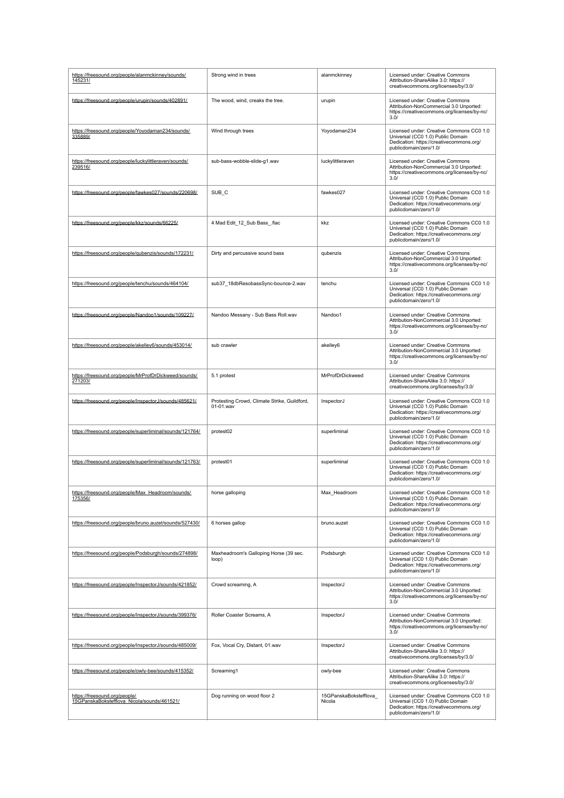| https://freesound.org/people/alanmckinney/sounds/<br>145231/                 | Strong wind in trees                                      | alanmckinney                    | Licensed under: Creative Commons<br>Attribution-ShareAlike 3.0: https://<br>creativecommons.org/licenses/by/3.0/                                    |
|------------------------------------------------------------------------------|-----------------------------------------------------------|---------------------------------|-----------------------------------------------------------------------------------------------------------------------------------------------------|
| https://freesound.org/people/urupin/sounds/402891/                           | The wood, wind, creaks the tree.                          | urupin                          | Licensed under: Creative Commons<br>Attribution-NonCommercial 3.0 Unported:<br>https://creativecommons.org/licenses/by-nc/<br>3.0/                  |
| https://freesound.org/people/Yoyodaman234/sounds/<br>335889/                 | Wind through trees                                        | Yoyodaman234                    | Licensed under: Creative Commons CC0 1.0<br>Universal (CC0 1.0) Public Domain<br>Dedication: https://creativecommons.org/<br>publicdomain/zero/1.0/ |
| https://freesound.org/people/luckylittleraven/sounds/<br>239516/             | sub-bass-wobble-slide-g1.wav                              | luckylittleraven                | Licensed under: Creative Commons<br>Attribution-NonCommercial 3.0 Unported:<br>https://creativecommons.org/licenses/by-nc/<br>3.0/                  |
| https://freesound.org/people/fawkes027/sounds/220698/                        | SUB_C                                                     | fawkes027                       | Licensed under: Creative Commons CC0 1.0<br>Universal (CC0 1.0) Public Domain<br>Dedication: https://creativecommons.org/<br>publicdomain/zero/1.0/ |
| https://freesound.org/people/kkz/sounds/66225/                               | 4 Mad Edit_12_Sub Bass_.flac                              | kkz                             | Licensed under: Creative Commons CC0 1.0<br>Universal (CC0 1.0) Public Domain<br>Dedication: https://creativecommons.org/<br>publicdomain/zero/1.0/ |
| https://freesound.org/people/qubenzis/sounds/172231/                         | Dirty and percussive sound bass                           | qubenzis                        | Licensed under: Creative Commons<br>Attribution-NonCommercial 3.0 Unported:<br>https://creativecommons.org/licenses/by-nc/<br>3.0/                  |
| https://freesound.org/people/tenchu/sounds/464104/                           | sub37_18dbResobassSync-bounce-2.wav                       | tenchu                          | Licensed under: Creative Commons CC0 1.0<br>Universal (CC0 1.0) Public Domain<br>Dedication: https://creativecommons.org/<br>publicdomain/zero/1.0/ |
| https://freesound.org/people/Nandoo1/sounds/109227/                          | Nandoo Messany - Sub Bass Roll.wav                        | Nandoo1                         | Licensed under: Creative Commons<br>Attribution-NonCommercial 3.0 Unported:<br>https://creativecommons.org/licenses/by-nc/<br>3.0/                  |
| https://freesound.org/people/akelley6/sounds/453014/                         | sub crawler                                               | akelley6                        | Licensed under: Creative Commons<br>Attribution-NonCommercial 3.0 Unported:<br>https://creativecommons.org/licenses/by-nc/<br>3.0/                  |
| https://freesound.org/people/MrProfDrDickweed/sounds/<br>271203/             | 5.1 protest                                               | MrProfDrDickweed                | Licensed under: Creative Commons<br>Attribution-ShareAlike 3.0: https://<br>creativecommons.org/licenses/by/3.0/                                    |
| https://freesound.org/people/InspectorJ/sounds/485621/                       | Protesting Crowd, Climate Strike, Guildford,<br>01-01.wav | InspectorJ                      | Licensed under: Creative Commons CC0 1.0<br>Universal (CC0 1.0) Public Domain<br>Dedication: https://creativecommons.org/<br>publicdomain/zero/1.0/ |
| https://freesound.org/people/superliminal/sounds/121764/                     | protest02                                                 | superliminal                    | Licensed under: Creative Commons CC0 1.0<br>Universal (CC0 1.0) Public Domain<br>Dedication: https://creativecommons.org/<br>publicdomain/zero/1.0/ |
| https://freesound.org/people/superliminal/sounds/121763/                     | protest01                                                 | superliminal                    | Licensed under: Creative Commons CC0 1.0<br>Universal (CC0 1.0) Public Domain<br>Dedication: https://creativecommons.org/<br>publicdomain/zero/1.0/ |
| https://freesound.org/people/Max_Headroom/sounds/<br>175356/                 | horse galloping                                           | Max_Headroom                    | Licensed under: Creative Commons CC0 1.0<br>Universal (CC0 1.0) Public Domain<br>Dedication: https://creativecommons.org/<br>publicdomain/zero/1.0/ |
| https://freesound.org/people/bruno.auzet/sounds/527430/                      | 6 horses gallop                                           | bruno.auzet                     | Licensed under: Creative Commons CC0 1.0<br>Universal (CC0 1.0) Public Domain<br>Dedication: https://creativecommons.org/<br>publicdomain/zero/1.0/ |
| https://freesound.org/people/Podsburgh/sounds/274898/                        | Maxheadroom's Galloping Horse (39 sec.<br>loop)           | Podsburgh                       | Licensed under: Creative Commons CC0 1.0<br>Universal (CC0 1.0) Public Domain<br>Dedication: https://creativecommons.org/<br>publicdomain/zero/1.0/ |
| https://freesound.org/people/InspectorJ/sounds/421852/                       | Crowd screaming, A                                        | InspectorJ                      | Licensed under: Creative Commons<br>Attribution-NonCommercial 3.0 Unported:<br>https://creativecommons.org/licenses/by-nc/<br>3.0/                  |
| https://freesound.org/people/InspectorJ/sounds/399376/                       | Roller Coaster Screams, A                                 | InspectorJ                      | Licensed under: Creative Commons<br>Attribution-NonCommercial 3.0 Unported:<br>https://creativecommons.org/licenses/by-nc/<br>3.0/                  |
| https://freesound.org/people/InspectorJ/sounds/485009/                       | Fox, Vocal Cry, Distant, 01.wav                           | InspectorJ                      | Licensed under: Creative Commons<br>Attribution-ShareAlike 3.0: https://<br>creativecommons.org/licenses/by/3.0/                                    |
| https://freesound.org/people/owly-bee/sounds/415352/                         | Screaming1                                                | owly-bee                        | Licensed under: Creative Commons<br>Attribution-ShareAlike 3.0: https://<br>creativecommons.org/licenses/by/3.0/                                    |
| https://freesound.org/people/<br>15GPanskaBokstefflova_Nicola/sounds/461521/ | Dog running on wood floor 2                               | 15GPanskaBokstefflova<br>Nicola | Licensed under: Creative Commons CC0 1.0<br>Universal (CC0 1.0) Public Domain<br>Dedication: https://creativecommons.org/<br>publicdomain/zero/1.0/ |